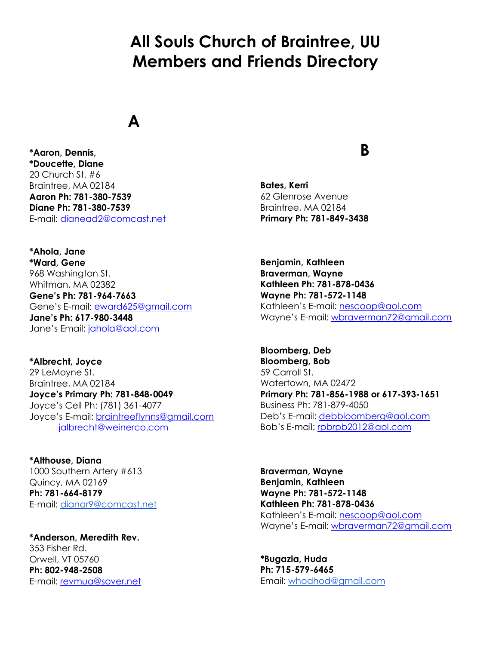# **All Souls Church of Braintree, UU Members and Friends Directory**

#### **A**

**\*Aaron, Dennis, \*Doucette, Diane** 20 Church St. #6 Braintree, MA 02184 **Aaron Ph: 781-380-7539 Diane Ph: 781-380-7539** E-mail: [dianead2@comcast.net](file:///C:/Users/maggy/Desktop/dianead2@comcast.net)

**\*Ahola, Jane \*Ward, Gene** 968 Washington St. Whitman, MA 02382 **Gene's Ph: 781-964-7663** Gene's E-mail: [eward625@gmail.com](mailto:eward625@gmail.com) **Jane's Ph: 617-980-3448** Jane's Email: [jahola@aol.com](file:///C:/Users/maggy/Desktop/jahola@aol.com)

**\*Albrecht, Joyce** 29 LeMoyne St. Braintree, MA 02184 **Joyce's Primary Ph: 781-848-0049** Joyce's Cell Ph: (781) 361-4077 Joyce's E-mail: [braintreeflynns@gmail.com](mailto:braintreeflynns@gmail.com) [jalbrecht@weinerco.com](mailto:jalbrecht@weinerco.com)

**\*Althouse, Diana** 1000 Southern Artery #613 Quincy, MA 02169 **Ph: 781-664-8179** E-mail: [dianar9@comcast.net](mailto:dianar9@comcast.net)

**\*Anderson, Meredith Rev.** 353 Fisher Rd. Orwell, VT 05760 **Ph: 802-948-2508** E-mail: [revmua@sover.net](file:///C:/Users/maggy/Desktop/revmua@sover.net)

#### **B**

**Bates, Kerri** 62 Glenrose Avenue Braintree, MA 02184 **Primary Ph: 781-849-3438**

**Benjamin, Kathleen Braverman, Wayne Kathleen Ph: 781-878-0436 Wayne Ph: 781-572-1148** Kathleen's E-mail: [nescoop@aol.com](mailto:nescoop@aol.com) Wayne's E-mail: [wbraverman72@gmail.com](file:///C:/Users/maggy/Desktop/wbraverman72@gmail.com)

**Bloomberg, Deb Bloomberg, Bob** 59 Carroll St. Watertown, MA 02472 **Primary Ph: 781-856-1988 or 617-393-1651** Business Ph: 781-879-4050 Deb's E-mail: [debbloomberg@aol.com](file:///C:/Users/maggy/Desktop/debbloomberg@aol.com) Bob's E-mail: [rpbrpb2012@aol.com](mailto:rpbrpb2012@aol.com)

**Braverman, Wayne Benjamin, Kathleen Wayne Ph: 781-572-1148 Kathleen Ph: 781-878-0436** Kathleen's E-mail: [nescoop@aol.com](mailto:nescoop@aol.com) Wayne's E-mail: [wbraverman72@gmail.com](file:///C:/Users/maggy/Desktop/wbraverman72@gmail.com)

**\*Bugazia, Huda Ph: 715-579-6465** Email: [whodhod@gmail.com](mailto:whodhod@gmail.com)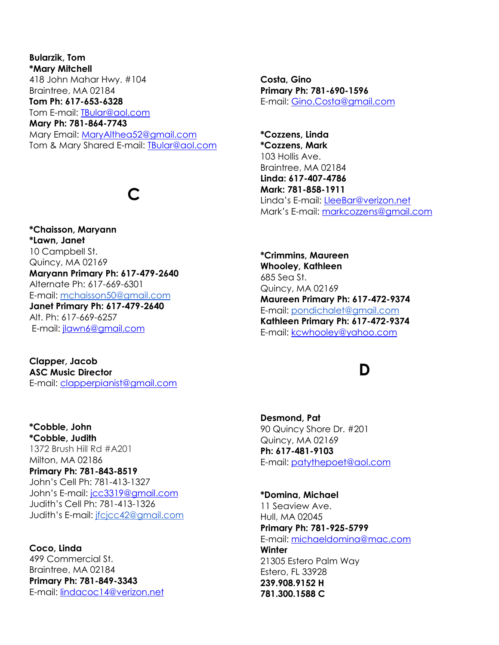**Bularzik, Tom \*Mary Mitchell** 418 John Mahar Hwy. #104 Braintree, MA 02184 **Tom Ph: 617-653-6328**  Tom E-mail: [TBular@aol.com](mailto:TBular@aol.com) **Mary Ph: 781-864-7743** Mary Email: [MaryAlthea52@gmail.com](mailto:MaryAlthea52@gmail.com) Tom & Mary Shared E-mail: **IBular@aol.com** 

## **C**

**\*Chaisson, Maryann \*Lawn, Janet** 10 Campbell St. Quincy, MA 02169 **Maryann Primary Ph: 617-479-2640** Alternate Ph: 617-669-6301 E-mail: [mchaisson50@gmail.com](mailto:mchaisson50@gmail.com) **Janet Primary Ph: 617-479-2640** Alt. Ph: 617-669-6257 E-mail: [jlawn6@gmail.com](mailto:jlawn6@gmail.com)

**Clapper, Jacob ASC Music Director** E-mail: [clapperpianist@gmail.com](mailto:clapperpianist@gmail.com)

**\*Cobble, John \*Cobble, Judith** 1372 Brush Hill Rd #A201 Milton, MA 02186 **Primary Ph: 781-843-8519** John's Cell Ph: 781-413-1327 John's E-mail: [jcc3319@gmail.com](file:///C:/Users/maggy/Desktop/jcc3319@gmail.com) Judith's Cell Ph: 781-413-1326 Judith's E-mail: [jfcjcc42@gmail.com](mailto:jfcjcc42@gmail.com)

**Coco, Linda** 499 Commercial St. Braintree, MA 02184 **Primary Ph: 781-849-3343** E-mail: [lindacoc14@verizon.net](mailto:lindacoc14@verizon.net)

**Costa, Gino Primary Ph: 781-690-1596** E-mail: [Gino.Costa@gmail.com](mailto:Gino.Costa@gmail.com)

**\*Cozzens, Linda \*Cozzens, Mark** 103 Hollis Ave. Braintree, MA 02184 **Linda: 617-407-4786 Mark: 781-858-1911** Linda's E-mail: [LleeBar@verizon.net](mailto:LleeBar@verizon.net) Mark's E-mail: [markcozzens@gmail.com](mailto:markcozzens@gmail.com)

**\*Crimmins, Maureen Whooley, Kathleen** 685 Sea St. Quincy, MA 02169 **Maureen Primary Ph: 617-472-9374** E-mail: [pondichalet@gmail.com](mailto:pondichalet@gmail.com) **Kathleen Primary Ph: 617-472-9374** E-mail: [kcwhooley@yahoo.com](mailto:kcwhooley@yahoo.com)

### **D**

**Desmond, Pat** 90 Quincy Shore Dr. #201 Quincy, MA 02169 **Ph: 617-481-9103** E-mail: [patythepoet@aol.com](mailto:patythepoet@aol.com)

**\*Domina, Michael** 11 Seaview Ave. Hull, MA 02045 **Primary Ph: 781-925-5799** E-mail: [michaeldomina@mac.com](mailto:michaeldomina@mac.com) **Winter** 21305 Estero Palm Way Estero, FL 33928 **239.908.9152 H 781.300.1588 C**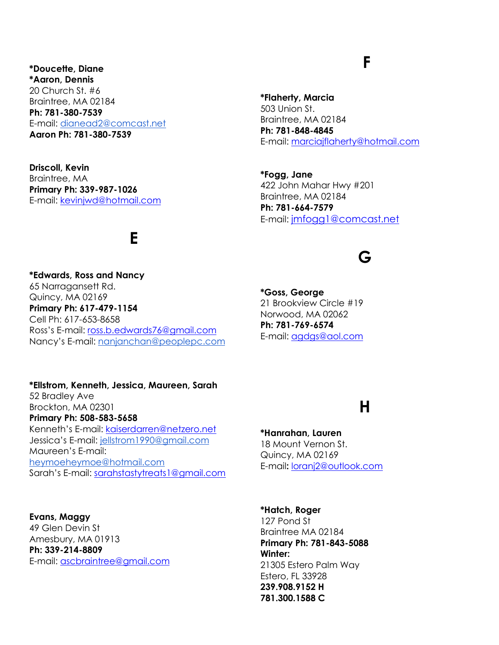**\*Doucette, Diane \*Aaron, Dennis** 20 Church St. #6 Braintree, MA 02184 **Ph: 781-380-7539** E-mail: [dianead2@comcast.net](mailto:dianead2@comcast.net) **Aaron Ph: 781-380-7539**

**Driscoll, Kevin** Braintree, MA **Primary Ph: 339-987-1026** E-mail: [kevinjwd@hotmail.com](mailto:kevinjwd@hotmail.com)

### **E**

**\*Edwards, Ross and Nancy** 65 Narragansett Rd. Quincy, MA 02169 **Primary Ph: 617-479-1154** Cell Ph: 617-653-8658 Ross's E-mail: [ross.b.edwards76@gmail.com](mailto:ross.b.edwards76@gmail.com) Nancy's E-mail: [nanjanchan@peoplepc.com](mailto:nanjanchan@peoplepc.com)

**\*Ellstrom, Kenneth, Jessica, Maureen, Sarah** 52 Bradley Ave Brockton, MA 02301 **Primary Ph: 508-583-5658** Kenneth's E-mail: [kaiserdarren@netzero.net](mailto:kaiserdarren@netzero.net) Jessica's E-mail: jellstrom1990@gmail.com Maureen's E-mail: [heymoeheymoe@hotmail.com](mailto:heymoeheymoe@hotmail.com) Sarah's E-mail: [sarahstastytreats1@gmail.com](mailto:sarahstastytreats1@gmail.com)

**Evans, Maggy** 49 Glen Devin St Amesbury, MA 01913 **Ph: 339-214-8809** E-mail: [ascbraintree@gmail.com](mailto:ascbraintree@gmail.com)

## **F**

**\*Flaherty, Marcia** 503 Union St. Braintree, MA 02184 **Ph: 781-848-4845** E-mail: [marciajflaherty@hotmail.com](mailto:marciajflaherty@hotmail.com)

**\*Fogg, Jane** 422 John Mahar Hwy #201 Braintree, MA 02184 **Ph: 781-664-7579** E-mail: [jmfogg1@comcast.net](file:///C:/Users/maggy/Desktop/jmfogg1@comcast.net)

### **G**

**\*Goss, George** 21 Brookview Circle #19 Norwood, MA 02062 **Ph: 781-769-6574** E-mail: [agdgs@aol.com](mailto:agdgs@aol.com)

## **H**

**\*Hanrahan, Lauren** 18 Mount Vernon St. Quincy, MA 02169 E-mail**:** [loranj2@outlook.com](mailto:loranj2@outlook.com)

**\*Hatch, Roger** 127 Pond St Braintree MA 02184 **Primary Ph: 781-843-5088 Winter:** 21305 Estero Palm Way Estero, FL 33928 **239.908.9152 H 781.300.1588 C**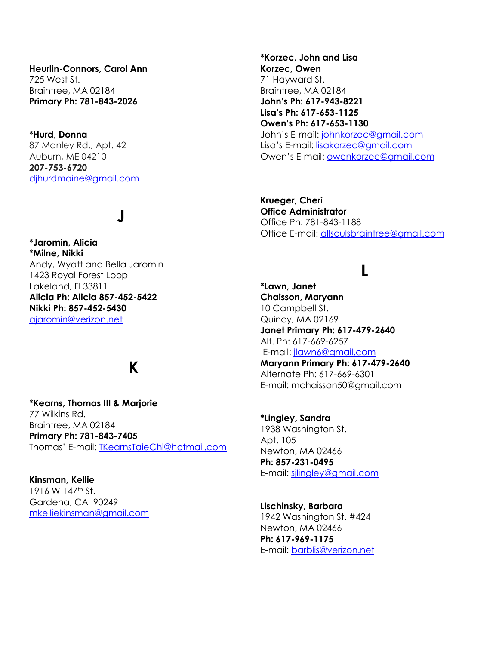**Heurlin-Connors, Carol Ann** 725 West St. Braintree, MA 02184 **Primary Ph: 781-843-2026**

**\*Hurd, Donna** 87 Manley Rd., Apt. 42 Auburn, ME 04210 **207-753-6720** [djhurdmaine@gmail.com](file:///C:/Users/maggy/Desktop/djhurdmaine@gmail.com)

## **J**

**\*Jaromin, Alicia \*Milne, Nikki** Andy, Wyatt and Bella Jaromin 1423 Royal Forest Loop Lakeland, Fl 33811 **Alicia Ph: Alicia 857-452-5422 Nikki Ph: 857-452-5430** [ajaromin@verizon.net](mailto:ajaromin@verizon.net)

## **K**

**\*Kearns, Thomas III & Marjorie** 77 Wilkins Rd. Braintree, MA 02184 **Primary Ph: 781-843-7405** Thomas' E-mail: [TKearnsTaieChi@hotmail.com](mailto:TKearnsTaieChi@hotmail.com)

**Kinsman, Kellie** 1916 W 147<sup>th</sup> St. Gardena, CA 90249 [mkelliekinsman@gmail.com](mailto:mkelliekinsman@gmail.com) **\*Korzec, John and Lisa Korzec, Owen** 71 Hayward St. Braintree, MA 02184 **John's Ph: 617-943-8221 Lisa's Ph: 617-653-1125 Owen's Ph: 617-653-1130** John's E-mail: [johnkorzec@gmail.com](mailto:johnkorzec@gmail.com) Lisa's E-mail: [lisakorzec@gmail.com](mailto:lisakorzec@gmail.com) Owen's E-mail: [owenkorzec@gmail.com](mailto:owenkorzec@gmail.com)

**Krueger, Cheri Office Administrator** Office Ph: 781-843-1188 Office E-mail: [allsoulsbraintree@gmail.com](mailto:allsoulsbraintree@gmail.com)

#### **L**

**\*Lawn, Janet Chaisson, Maryann** 10 Campbell St. Quincy, MA 02169 **Janet Primary Ph: 617-479-2640** Alt. Ph: 617-669-6257 E-mail: [jlawn6@gmail.com](mailto:jlawn6@gmail.com) **Maryann Primary Ph: 617-479-2640**

Alternate Ph: 617-669-6301 E-mail: mchaisson50@gmail.com

**\*Lingley, Sandra** 1938 Washington St. Apt. 105 Newton, MA 02466 **Ph: 857-231-0495** E-mail: [sjlingley@gmail.com](mailto:sjlingley@gmail.com)

**Lischinsky, Barbara** 1942 Washington St. #424 Newton, MA 02466 **Ph: 617-969-1175** E-mail: [barblis@verizon.net](mailto:barblis@verizon.net)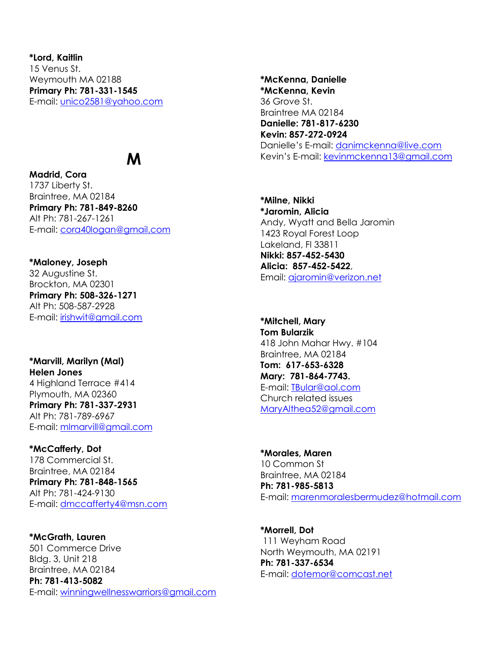**\*Lord, Kaitlin** 15 Venus St. Weymouth MA 02188 **Primary Ph: 781-331-1545** E-mail: [unico2581@yahoo.com](mailto:unico2581@yahoo.com)

## **M**

**Madrid, Cora** 1737 Liberty St. Braintree, MA 02184 **Primary Ph: 781-849-8260** Alt Ph: 781-267-1261 E-mail: [cora40logan@gmail.com](mailto:cora40logan@gmail.com)

**\*Maloney, Joseph** 32 Augustine St. Brockton, MA 02301 **Primary Ph: 508-326-1271** Alt Ph: 508-587-2928 E-mail: [irishwit@gmail.com](mailto:irishwit@gmail.com)

**\*Marvill, Marilyn (Mal) Helen Jones** 4 Highland Terrace #414 Plymouth, MA 02360 **Primary Ph: 781-337-2931** Alt Ph: 781-789-6967 E-mail: [mlmarvill@gmail.com](mailto:mlmarvill@gmail.com)

**\*McCafferty, Dot** 178 Commercial St. Braintree, MA 02184 **Primary Ph: 781-848-1565** Alt Ph: 781-424-9130 E-mail: [dmccafferty4@msn.com](mailto:dmccafferty4@msn.com)

**\*McGrath, Lauren** 501 Commerce Drive Bldg. 3, Unit 218 Braintree, MA 02184 **Ph: 781-413-5082** E-mail: [winningwellnesswarriors@gmail.com](mailto:winningwellnesswarriors@gmail.com)

**\*McKenna, Danielle \*McKenna, Kevin** 36 Grove St. Braintree MA 02184 **Danielle: 781-817-6230 Kevin: 857-272-0924** Danielle's E-mail: [danimckenna@live.com](mailto:danimckenna@live.com) Kevin's E-mail: [kevinmckenna13@gmail.com](mailto:kevinmckenna13@gmail.com)

**\*Milne, Nikki \*Jaromin, Alicia** Andy, Wyatt and Bella Jaromin 1423 Royal Forest Loop Lakeland, Fl 33811 **Nikki: 857-452-5430 Alicia: 857-452-5422**, Email: [ajaromin@verizon.net](file:///C:/Users/maggy/Desktop/ajaromin@verizon.net)

**\*Mitchell, Mary Tom Bularzik** 418 John Mahar Hwy. #104 Braintree, MA 02184 **Tom: 617-653-6328 Mary: 781-864-7743.**  E-mail: [TBular@aol.com](mailto:TBular@aol.com) Church related issues [MaryAlthea52@gmail.com](file:///C:/Users/maggy/Desktop/MaryAlthea52@gmail.com)

**\*Morales, Maren** 10 Common St Braintree, MA 02184 **Ph: 781-985-5813** E-mail: [marenmoralesbermudez@hotmail.com](mailto:marenmoralesbermudez@hotmail.com)

**\*Morrell, Dot** 111 Weyham Road North Weymouth, MA 02191 **Ph: 781-337-6534** E-mail: [dotemor@comcast.net](file:///C:/Users/maggy/Desktop/dotemor@comcast.net)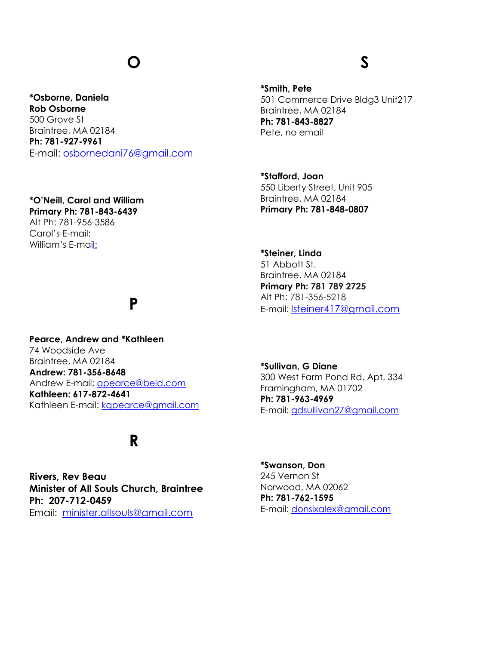## **O**

#### **\*Osborne, Daniela Rob Osborne** 500 Grove St Braintree, MA 02184 **Ph: 781-927-9961** E-mail: [osbornedani76@gmail.com](mailto:drosborne76@gmail.com)

#### **\*O'Neill, Carol and William**

**Primary Ph: 781-843-6439** Alt Ph: 781-956-3586 Carol's E-mail: William's E-mail:

### **P**

**Pearce, Andrew and \*Kathleen** 74 Woodside Ave Braintree, MA 02184 **Andrew: 781-356-8648** Andrew E-mail: [apearce@beld.com](mailto:apearce@beld.com) **Kathleen: 617-872-4641** Kathleen E-mail: [kqpearce@gmail.com](mailto:kqpearce@gmail.com)

## **R**

**Rivers, Rev Beau Minister of All Souls Church, Braintree Ph: 207-712-0459** Email: [minister.allsouls@gmail.com](file:///C:/Users/maggy/Desktop/minister.allsouls@gmail.com)

# **S**

**\*Smith, Pete** 501 Commerce Drive Bldg3 Unit217 Braintree, MA 02184 **Ph: 781-843-8827** Pete, no email

**\*Stafford, Joan**  550 Liberty Street, Unit 905 Braintree, MA 02184 **Primary Ph: 781-848-0807**

**\*Steiner, Linda** 51 Abbott St. Braintree, MA 02184 **Primary Ph: 781 789 2725** Alt Ph: 781-356-5218 E-mail: [lsteiner417@gmail.com](file:///C:/Users/maggy/Desktop/work2/lsteiner417@gmail.com)

**\*Sullivan, G Diane** 300 West Farm Pond Rd. Apt. 334 Framingham, MA 01702 **Ph: 781-963-4969** E-mail: [gdsullivan27@gmail.com](mailto:gdsullivan27@gmail.com)

**\*Swanson, Don** 245 Vernon St Norwood, MA 02062 **Ph: 781-762-1595** E-mail: [donsixalex@gmail.com](mailto:donsixalex@gmail.com)